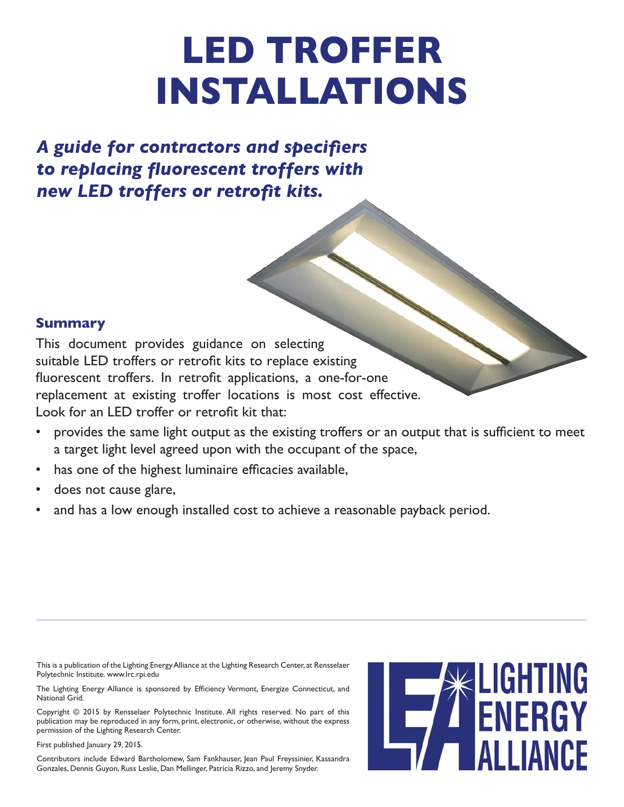## **LED TROFFER INSTALLATIONS**

A guide for contractors and specifiers *to replacing fl uorescent troffers with*  **new LED troffers or retrofit kits.** 

#### **Summary**

This document provides guidance on selecting suitable LED troffers or retrofit kits to replace existing fluorescent troffers. In retrofit applications, a one-for-one replacement at existing troffer locations is most cost effective. Look for an LED troffer or retrofit kit that:

- provides the same light output as the existing troffers or an output that is sufficient to meet a target light level agreed upon with the occupant of the space,
- has one of the highest luminaire efficacies available,
- does not cause glare,
- and has a low enough installed cost to achieve a reasonable payback period.

This is a publication of the Lighting Energy Alliance at the Lighting Research Center, at Rensselaer Polytechnic Institute. www.lrc.rpi.edu

The Lighting Energy Alliance is sponsored by Efficiency Vermont, Energize Connecticut, and National Grid.

Copyright © 2015 by Rensselaer Polytechnic Institute. All rights reserved. No part of this publication may be reproduced in any form, print, electronic, or otherwise, without the express permission of the Lighting Research Center.

First published January 29, 2015.

Contributors include Edward Bartholomew, Sam Fankhauser, Jean Paul Freyssinier, Kassandra Gonzales, Dennis Guyon, Russ Leslie, Dan Mellinger, Patricia Rizzo, and Jeremy Snyder.

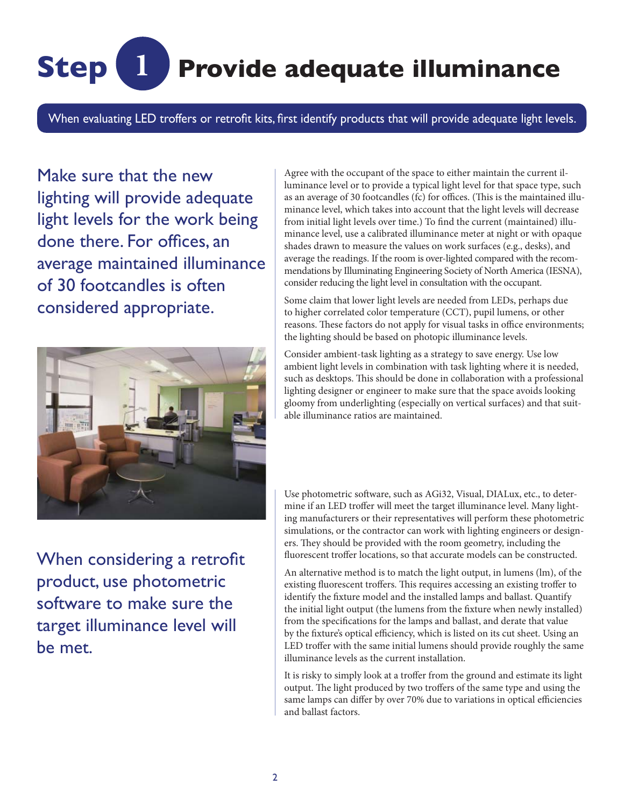## **Step 1 Provide adequate illuminance**

When evaluating LED troffers or retrofit kits, first identify products that will provide adequate light levels.

Make sure that the new lighting will provide adequate light levels for the work being done there. For offices, an average maintained illuminance of 30 footcandles is often considered appropriate.



When considering a retrofit product, use photometric software to make sure the target illuminance level will be met.

Agree with the occupant of the space to either maintain the current illuminance level or to provide a typical light level for that space type, such as an average of 30 footcandles (fc) for offices. (This is the maintained illuminance level, which takes into account that the light levels will decrease from initial light levels over time.) To find the current (maintained) illuminance level, use a calibrated illuminance meter at night or with opaque shades drawn to measure the values on work surfaces (e.g., desks), and average the readings. If the room is over-lighted compared with the recommendations by Illuminating Engineering Society of North America (IESNA), consider reducing the light level in consultation with the occupant.

Some claim that lower light levels are needed from LEDs, perhaps due to higher correlated color temperature (CCT), pupil lumens, or other reasons. These factors do not apply for visual tasks in office environments; the lighting should be based on photopic illuminance levels.

Consider ambient-task lighting as a strategy to save energy. Use low ambient light levels in combination with task lighting where it is needed, such as desktops. This should be done in collaboration with a professional lighting designer or engineer to make sure that the space avoids looking gloomy from underlighting (especially on vertical surfaces) and that suitable illuminance ratios are maintained.

Use photometric software, such as AGi32, Visual, DIALux, etc., to determine if an LED troffer will meet the target illuminance level. Many lighting manufacturers or their representatives will perform these photometric simulations, or the contractor can work with lighting engineers or designers. They should be provided with the room geometry, including the fluorescent troffer locations, so that accurate models can be constructed.

An alternative method is to match the light output, in lumens (lm), of the existing fluorescent troffers. This requires accessing an existing troffer to identify the fixture model and the installed lamps and ballast. Quantify the initial light output (the lumens from the fixture when newly installed) from the specifications for the lamps and ballast, and derate that value by the fixture's optical efficiency, which is listed on its cut sheet. Using an LED troffer with the same initial lumens should provide roughly the same illuminance levels as the current installation.

It is risky to simply look at a troffer from the ground and estimate its light output. The light produced by two troffers of the same type and using the same lamps can differ by over 70% due to variations in optical efficiencies and ballast factors.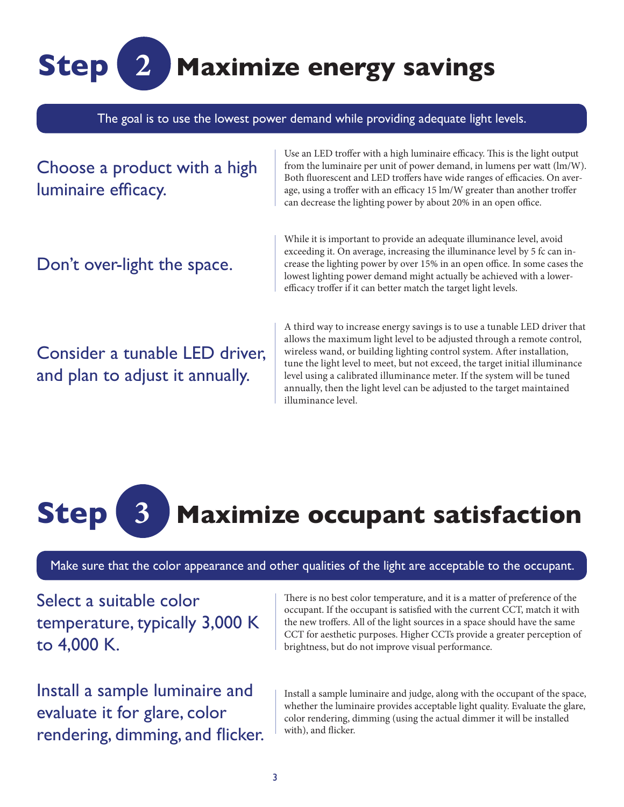## **Step 2 Maximize energy savings**

The goal is to use the lowest power demand while providing adequate light levels.

Choose a product with a high luminaire efficacy.

Don't over-light the space.

Use an LED troffer with a high luminaire efficacy. This is the light output from the luminaire per unit of power demand, in lumens per watt (lm/W). Both fluorescent and LED troffers have wide ranges of efficacies. On average, using a troffer with an efficacy 15 lm/W greater than another troffer can decrease the lighting power by about 20% in an open office.

While it is important to provide an adequate illuminance level, avoid exceeding it. On average, increasing the illuminance level by 5 fc can increase the lighting power by over 15% in an open office. In some cases the lowest lighting power demand might actually be achieved with a lowerefficacy troffer if it can better match the target light levels.

Consider a tunable LED driver, and plan to adjust it annually.

A third way to increase energy savings is to use a tunable LED driver that allows the maximum light level to be adjusted through a remote control, wireless wand, or building lighting control system. After installation, tune the light level to meet, but not exceed, the target initial illuminance level using a calibrated illuminance meter. If the system will be tuned annually, then the light level can be adjusted to the target maintained illuminance level.

# **Step 3 Maximize occupant satisfaction**

Make sure that the color appearance and other qualities of the light are acceptable to the occupant.

Select a suitable color temperature, typically 3,000 K to 4,000 K.

Install a sample luminaire and evaluate it for glare, color rendering, dimming, and flicker. There is no best color temperature, and it is a matter of preference of the occupant. If the occupant is satisfied with the current CCT, match it with the new troffers. All of the light sources in a space should have the same CCT for aesthetic purposes. Higher CCTs provide a greater perception of brightness, but do not improve visual performance.

Install a sample luminaire and judge, along with the occupant of the space, whether the luminaire provides acceptable light quality. Evaluate the glare, color rendering, dimming (using the actual dimmer it will be installed with), and flicker.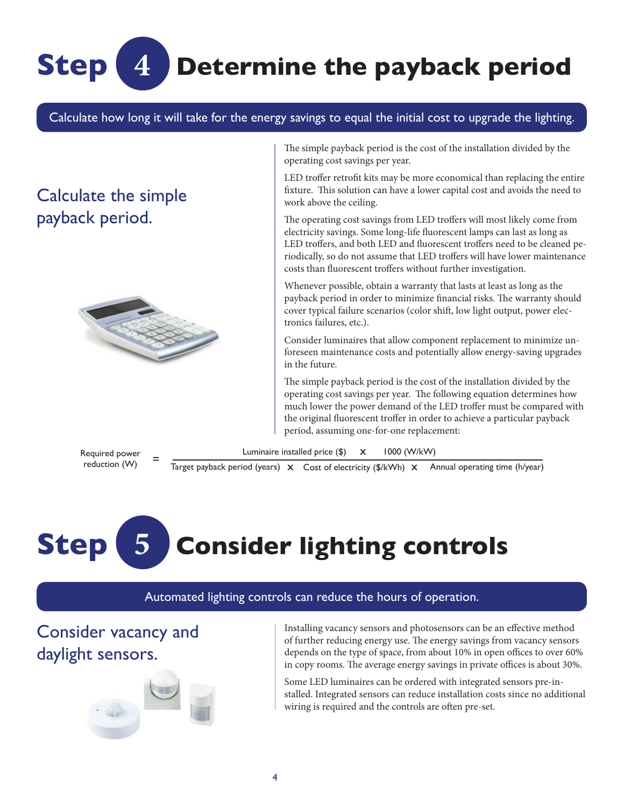### **Determine the payback period**

Calculate how long it will take for the energy savings to equal the initial cost to upgrade the lighting.

### Calculate the simple payback period.

**Step**



**4**

The simple payback period is the cost of the installation divided by the operating cost savings per year.

LED troffer retrofit kits may be more economical than replacing the entire fixture. This solution can have a lower capital cost and avoids the need to work above the ceiling.

The operating cost savings from LED troffers will most likely come from electricity savings. Some long-life fluorescent lamps can last as long as LED troffers, and both LED and fluorescent troffers need to be cleaned periodically, so do not assume that LED troffers will have lower maintenance costs than fluorescent troffers without further investigation.

Whenever possible, obtain a warranty that lasts at least as long as the payback period in order to minimize financial risks. The warranty should cover typical failure scenarios (color shift, low light output, power electronics failures, etc.).

Consider luminaires that allow component replacement to minimize unforeseen maintenance costs and potentially allow energy-saving upgrades in the future.

The simple payback period is the cost of the installation divided by the operating cost savings per year. The following equation determines how much lower the power demand of the LED troffer must be compared with the original fluorescent troffer in order to achieve a particular payback period, assuming one-for-one replacement:

Required power kequired power =  $\frac{1}{\text{Target payback period (years)} \times \text{Cost of electricity ($/kWh)} \times \text{Annual operating time (h/year)}}$ 



#### Automated lighting controls can reduce the hours of operation.

Luminaire installed price  $(\$)$  X

Consider vacancy and daylight sensors.



Installing vacancy sensors and photosensors can be an effective method of further reducing energy use. The energy savings from vacancy sensors depends on the type of space, from about 10% in open offices to over 60% in copy rooms. The average energy savings in private offices is about 30%.

Some LED luminaires can be ordered with integrated sensors pre-installed. Integrated sensors can reduce installation costs since no additional wiring is required and the controls are often pre-set.